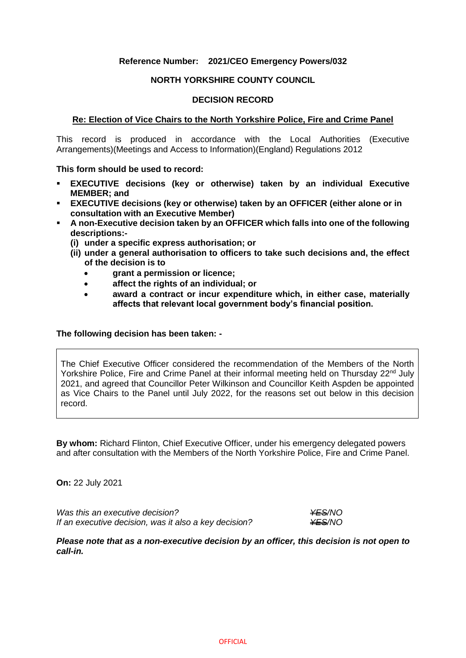## **Reference Number: 2021/CEO Emergency Powers/032**

#### **NORTH YORKSHIRE COUNTY COUNCIL**

#### **DECISION RECORD**

#### **Re: Election of Vice Chairs to the North Yorkshire Police, Fire and Crime Panel**

This record is produced in accordance with the Local Authorities (Executive Arrangements)(Meetings and Access to Information)(England) Regulations 2012

**This form should be used to record:**

- **EXECUTIVE decisions (key or otherwise) taken by an individual Executive MEMBER; and**
- **EXECUTIVE decisions (key or otherwise) taken by an OFFICER (either alone or in consultation with an Executive Member)**
- **A non-Executive decision taken by an OFFICER which falls into one of the following descriptions:-**
	- **(i) under a specific express authorisation; or**
	- **(ii) under a general authorisation to officers to take such decisions and, the effect of the decision is to**
		- **grant a permission or licence;**
		- **affect the rights of an individual; or**
		- **award a contract or incur expenditure which, in either case, materially affects that relevant local government body's financial position.**

#### **The following decision has been taken: -**

The Chief Executive Officer considered the recommendation of the Members of the North Yorkshire Police, Fire and Crime Panel at their informal meeting held on Thursday 22<sup>nd</sup> July 2021, and agreed that Councillor Peter Wilkinson and Councillor Keith Aspden be appointed as Vice Chairs to the Panel until July 2022, for the reasons set out below in this decision record.

**By whom:** Richard Flinton, Chief Executive Officer, under his emergency delegated powers and after consultation with the Members of the North Yorkshire Police, Fire and Crime Panel.

**On:** 22 July 2021

*Was this an executive decision? YES/NO If an executive decision, was it also a key decision?*  $\frac{\text{YES}}{\text{YOS}}$ 

*Please note that as a non-executive decision by an officer, this decision is not open to call-in.*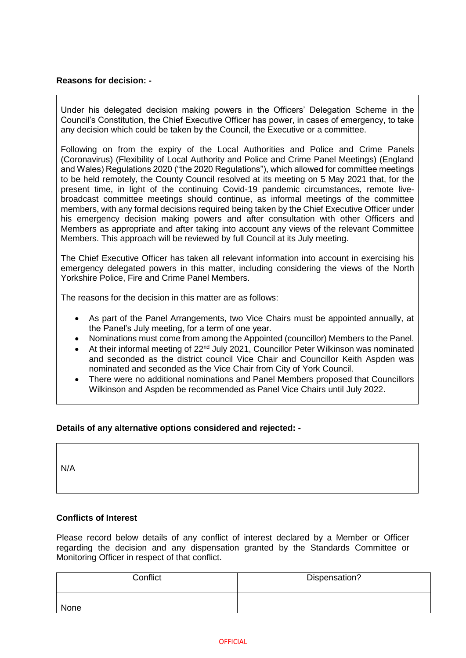# **Reasons for decision: -**

Under his delegated decision making powers in the Officers' Delegation Scheme in the Council's Constitution, the Chief Executive Officer has power, in cases of emergency, to take any decision which could be taken by the Council, the Executive or a committee.

Following on from the expiry of the Local Authorities and Police and Crime Panels (Coronavirus) (Flexibility of Local Authority and Police and Crime Panel Meetings) (England and Wales) Regulations 2020 ("the 2020 Regulations"), which allowed for committee meetings to be held remotely, the County Council resolved at its meeting on 5 May 2021 that, for the present time, in light of the continuing Covid-19 pandemic circumstances, remote livebroadcast committee meetings should continue, as informal meetings of the committee members, with any formal decisions required being taken by the Chief Executive Officer under his emergency decision making powers and after consultation with other Officers and Members as appropriate and after taking into account any views of the relevant Committee Members. This approach will be reviewed by full Council at its July meeting.

The Chief Executive Officer has taken all relevant information into account in exercising his emergency delegated powers in this matter, including considering the views of the North Yorkshire Police, Fire and Crime Panel Members.

The reasons for the decision in this matter are as follows:

- As part of the Panel Arrangements, two Vice Chairs must be appointed annually, at the Panel's July meeting, for a term of one year.
- Nominations must come from among the Appointed (councillor) Members to the Panel.
- At their informal meeting of 22<sup>nd</sup> July 2021, Councillor Peter Wilkinson was nominated and seconded as the district council Vice Chair and Councillor Keith Aspden was nominated and seconded as the Vice Chair from City of York Council.
- There were no additional nominations and Panel Members proposed that Councillors Wilkinson and Aspden be recommended as Panel Vice Chairs until July 2022.

# **Details of any alternative options considered and rejected: -**

N/A

# **Conflicts of Interest**

Please record below details of any conflict of interest declared by a Member or Officer regarding the decision and any dispensation granted by the Standards Committee or Monitoring Officer in respect of that conflict.

| Conflict | Dispensation? |
|----------|---------------|
| None     |               |